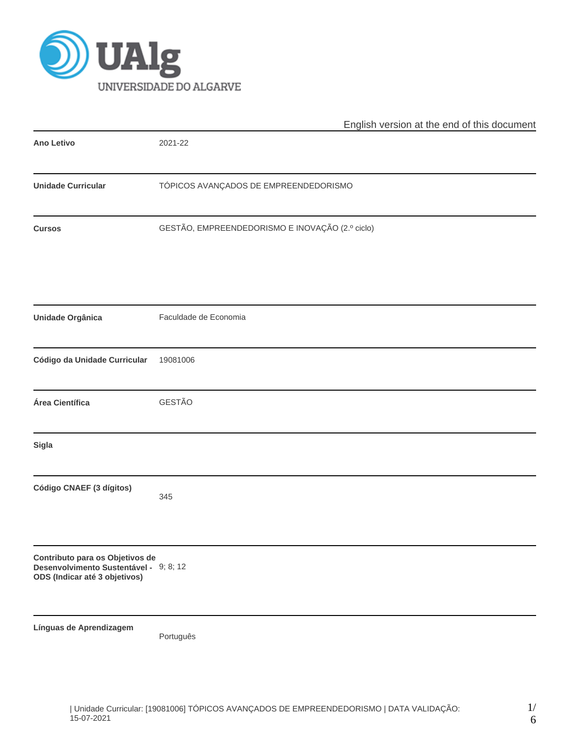

|                                                                                                            | English version at the end of this document     |  |  |  |  |  |  |
|------------------------------------------------------------------------------------------------------------|-------------------------------------------------|--|--|--|--|--|--|
| <b>Ano Letivo</b>                                                                                          | 2021-22                                         |  |  |  |  |  |  |
| <b>Unidade Curricular</b>                                                                                  | TÓPICOS AVANÇADOS DE EMPREENDEDORISMO           |  |  |  |  |  |  |
| <b>Cursos</b>                                                                                              | GESTÃO, EMPREENDEDORISMO E INOVAÇÃO (2.º ciclo) |  |  |  |  |  |  |
| <b>Unidade Orgânica</b>                                                                                    | Faculdade de Economia                           |  |  |  |  |  |  |
| Código da Unidade Curricular                                                                               | 19081006                                        |  |  |  |  |  |  |
| Área Científica                                                                                            | GESTÃO                                          |  |  |  |  |  |  |
| <b>Sigla</b>                                                                                               |                                                 |  |  |  |  |  |  |
| Código CNAEF (3 dígitos)                                                                                   | 345                                             |  |  |  |  |  |  |
| Contributo para os Objetivos de<br>Desenvolvimento Sustentável - 9; 8; 12<br>ODS (Indicar até 3 objetivos) |                                                 |  |  |  |  |  |  |
| Línguas de Aprendizagem                                                                                    | Português                                       |  |  |  |  |  |  |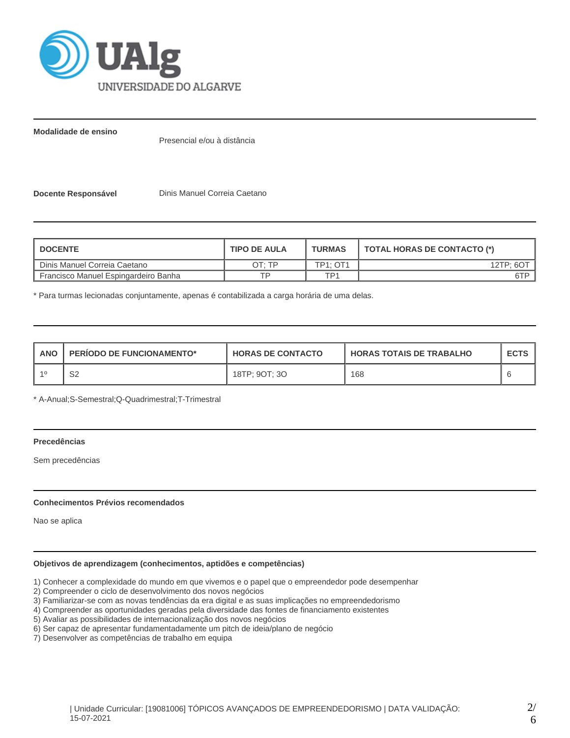

**Modalidade de ensino**

Presencial e/ou à distância

**Docente Responsável Dinis Manuel Correia Caetano** 

| <b>DOCENTE</b>                       | <b>TIPO DE AULA</b> | <b>TURMAS</b>   | TOTAL HORAS DE CONTACTO (*) |
|--------------------------------------|---------------------|-----------------|-----------------------------|
| Dinis Manuel Correia Caetano         | חד ּ⊤ר              | <b>TP1: OT1</b> | 12TP: 6OT                   |
| Francisco Manuel Espingardeiro Banha | ᅚᄆ                  | TP1             | 6TP                         |

\* Para turmas lecionadas conjuntamente, apenas é contabilizada a carga horária de uma delas.

| <b>ANO</b> | <b>PERIODO DE FUNCIONAMENTO*</b> | <b>HORAS DE CONTACTO</b> | <b>HORAS TOTAIS DE TRABALHO</b> | <b>ECTS</b> |
|------------|----------------------------------|--------------------------|---------------------------------|-------------|
|            | ົ<br>ےت                          | 18TP; 9OT; 3O            | 168                             |             |

\* A-Anual;S-Semestral;Q-Quadrimestral;T-Trimestral

## **Precedências**

Sem precedências

#### **Conhecimentos Prévios recomendados**

Nao se aplica

# **Objetivos de aprendizagem (conhecimentos, aptidões e competências)**

1) Conhecer a complexidade do mundo em que vivemos e o papel que o empreendedor pode desempenhar

2) Compreender o ciclo de desenvolvimento dos novos negócios

3) Familiarizar-se com as novas tendências da era digital e as suas implicações no empreendedorismo

4) Compreender as oportunidades geradas pela diversidade das fontes de financiamento existentes

5) Avaliar as possibilidades de internacionalização dos novos negócios

6) Ser capaz de apresentar fundamentadamente um pitch de ideia/plano de negócio

7) Desenvolver as competências de trabalho em equipa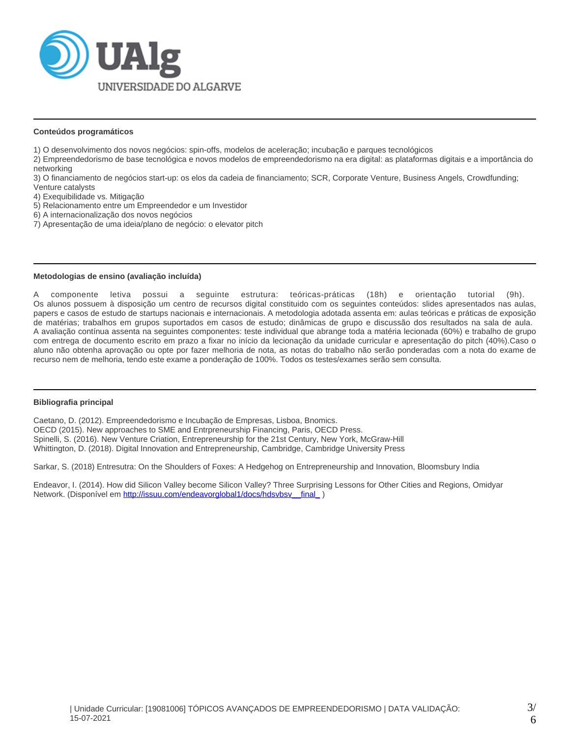

### **Conteúdos programáticos**

- 1) O desenvolvimento dos novos negócios: spin-offs, modelos de aceleração; incubação e parques tecnológicos
- 2) Empreendedorismo de base tecnológica e novos modelos de empreendedorismo na era digital: as plataformas digitais e a importância do networking

3) O financiamento de negócios start-up: os elos da cadeia de financiamento; SCR, Corporate Venture, Business Angels, Crowdfunding; Venture catalysts

- 4) Exequibilidade vs. Mitigação
- 5) Relacionamento entre um Empreendedor e um Investidor
- 6) A internacionalização dos novos negócios
- 7) Apresentação de uma ideia/plano de negócio: o elevator pitch

#### **Metodologias de ensino (avaliação incluída)**

A componente letiva possui a seguinte estrutura: teóricas-práticas (18h) e orientação tutorial (9h). Os alunos possuem à disposição um centro de recursos digital constituido com os seguintes conteúdos: slides apresentados nas aulas, papers e casos de estudo de startups nacionais e internacionais. A metodologia adotada assenta em: aulas teóricas e práticas de exposição de matérias; trabalhos em grupos suportados em casos de estudo; dinâmicas de grupo e discussão dos resultados na sala de aula. A avaliação contínua assenta na seguintes componentes: teste individual que abrange toda a matéria lecionada (60%) e trabalho de grupo com entrega de documento escrito em prazo a fixar no início da lecionação da unidade curricular e apresentação do pitch (40%).Caso o aluno não obtenha aprovação ou opte por fazer melhoria de nota, as notas do trabalho não serão ponderadas com a nota do exame de recurso nem de melhoria, tendo este exame a ponderação de 100%. Todos os testes/exames serão sem consulta.

#### **Bibliografia principal**

Caetano, D. (2012). Empreendedorismo e Incubação de Empresas, Lisboa, Bnomics. OECD (2015). New approaches to SME and Entrpreneurship Financing, Paris, OECD Press. Spinelli, S. (2016). New Venture Criation, Entrepreneurship for the 21st Century, New York, McGraw-Hill Whittington, D. (2018). Digital Innovation and Entrepreneurship, Cambridge, Cambridge University Press

Sarkar, S. (2018) Entresutra: On the Shoulders of Foxes: A Hedgehog on Entrepreneurship and Innovation, Bloomsbury India

Endeavor, I. (2014). How did Silicon Valley become Silicon Valley? Three Surprising Lessons for Other Cities and Regions, Omidyar Network. (Disponível em http://issuu.com/endeavorglobal1/docs/hdsvbsv\_final\_)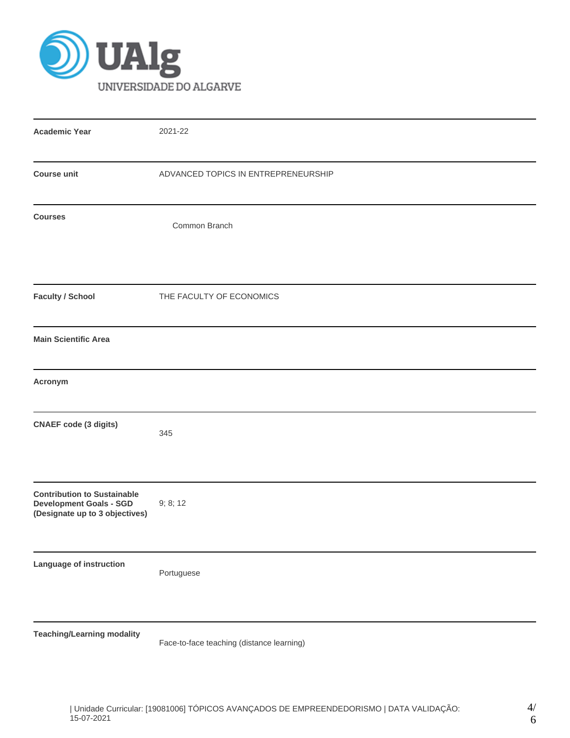

| <b>Academic Year</b>                                                                                   | 2021-22                             |
|--------------------------------------------------------------------------------------------------------|-------------------------------------|
| <b>Course unit</b>                                                                                     | ADVANCED TOPICS IN ENTREPRENEURSHIP |
| <b>Courses</b>                                                                                         | Common Branch                       |
| <b>Faculty / School</b>                                                                                | THE FACULTY OF ECONOMICS            |
| <b>Main Scientific Area</b>                                                                            |                                     |
| Acronym                                                                                                |                                     |
| <b>CNAEF</b> code (3 digits)                                                                           | 345                                 |
| <b>Contribution to Sustainable</b><br><b>Development Goals - SGD</b><br>(Designate up to 3 objectives) | 9; 8; 12                            |
| Language of instruction                                                                                | Portuguese                          |
| <b>Teaching/Learning modality</b>                                                                      |                                     |

Face-to-face teaching (distance learning)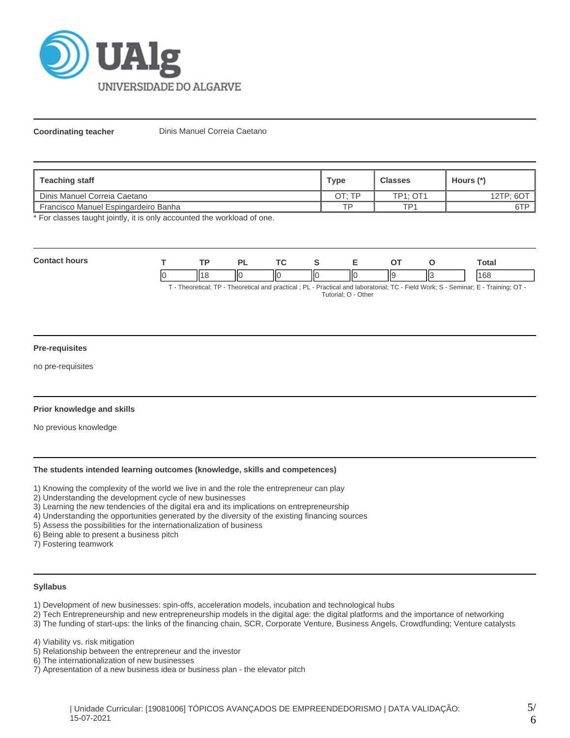

**Coordinating teacher** Dinis Manuel Correia Caetano

| Teaching staff                       | <b>Type</b> | <b>Classes</b>  | Hours (*) |
|--------------------------------------|-------------|-----------------|-----------|
| Dinis Manuel Correia Caetano         | OT: TP      | <b>TP1: OT1</b> | 12TP: 6OT |
| Francisco Manuel Espingardeiro Banha | TD          | TP <sub>1</sub> | 6TP       |

\* For classes taught jointly, it is only accounted the workload of one.

| $C_{\rm BH}$ |     | D)            |         |    |                          |    |          | Total        |
|--------------|-----|---------------|---------|----|--------------------------|----|----------|--------------|
|              | ۰۱۰ | $\mathsf{II}$ | ш<br>н. | ΙЮ | $\overline{\phantom{a}}$ | ШS | ╹╹<br>∣⊾ | $\sim$<br>юō |

T - Theoretical; TP - Theoretical and practical ; PL - Practical and laboratorial; TC - Field Work; S - Seminar; E - Training; OT - Tutorial; O - Other

### **Pre-requisites**

no pre-requisites

# **Prior knowledge and skills**

No previous knowledge

#### **The students intended learning outcomes (knowledge, skills and competences)**

1) Knowing the complexity of the world we live in and the role the entrepreneur can play

- 2) Understanding the development cycle of new businesses
- 3) Learning the new tendencies of the digital era and its implications on entrepreneurship
- 4) Understanding the opportunities generated by the diversity of the existing financing sources
- 5) Assess the possibilities for the internationalization of business
- 6) Being able to present a business pitch

7) Fostering teamwork

### **Syllabus**

- 1) Development of new businesses: spin-offs, acceleration models, incubation and technological hubs
- 2) Tech Entrepreneurship and new entrepreneurship models in the digital age: the digital platforms and the importance of networking

3) The funding of start-ups: the links of the financing chain, SCR, Corporate Venture, Business Angels, Crowdfunding; Venture catalysts

4) Viability vs. risk mitigation

- 5) Relationship between the entrepreneur and the investor
- 6) The internationalization of new businesses
- 7) Apresentation of a new business idea or business plan the elevator pitch